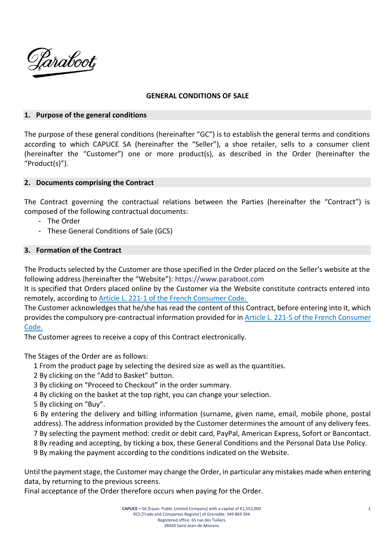

### **GENERAL CONDITIONS OF SALE**

### **1. Purpose of the general conditions**

The purpose of these general conditions (hereinafter "GC") is to establish the general terms and conditions according to which CAPUCE SA (hereinafter the "Seller"), a shoe retailer, sells to a consumer client (hereinafter the "Customer") one or more product(s), as described in the Order (hereinafter the "Product(s)").

### **2. Documents comprising the Contract**

The Contract governing the contractual relations between the Parties (hereinafter the "Contract") is composed of the following contractual documents:

- The Order
- These General Conditions of Sale (GCS)

### **3. Formation of the Contract**

The Products selected by the Customer are those specified in the Order placed on the Seller's website at the following address (hereinafter the "Website"): [https://www.paraboot.com](https://www.paraboot.com/)

It is specified that Orders placed online by the Customer via the Website constitute contracts entered into remotely, according to [Article L. 221-1 of the French Consumer Code.](https://www.legifrance.gouv.fr/affichCodeArticle.do;jsessionid=CB3F8B3D25FB31BBEBBA0E889EC52B52.tplgfr21s_2?idArticle=LEGIARTI000032226886&cidTexte=LEGITEXT000006069565&categorieLien=id&dateTexte=)

The Customer acknowledges that he/she has read the content of this Contract, before entering into it, which provides the compulsory pre-contractual information provided for in [Article L. 221-5 of the French Consumer](https://www.legifrance.gouv.fr/affichCodeArticle.do;jsessionid=B826270F552C067B259EBB8BFA242773.tplgfr21s_2?idArticle=LEGIARTI000032226876&cidTexte=LEGITEXT000006069565&dateTexte=20200430&categorieLien=id&oldAction=&nbResultRech=)  [Code.](https://www.legifrance.gouv.fr/affichCodeArticle.do;jsessionid=B826270F552C067B259EBB8BFA242773.tplgfr21s_2?idArticle=LEGIARTI000032226876&cidTexte=LEGITEXT000006069565&dateTexte=20200430&categorieLien=id&oldAction=&nbResultRech=)

The Customer agrees to receive a copy of this Contract electronically.

The Stages of the Order are as follows:

1 From the product page by selecting the desired size as well as the quantities.

- 2 By clicking on the "Add to Basket" button.
- 3 By clicking on "Proceed to Checkout" in the order summary.
- 4 By clicking on the basket at the top right, you can change your selection.
- 5 By clicking on "Buy".

6 By entering the delivery and billing information (surname, given name, email, mobile phone, postal address). The address information provided by the Customer determines the amount of any delivery fees. 7 By selecting the payment method: credit or debit card, PayPal, American Express, Sofort or Bancontact. 8 By reading and accepting, by ticking a box, these General Conditions and the Personal Data Use Policy.

9 By making the payment according to the conditions indicated on the Website.

Until the payment stage, the Customer may change the Order, in particular any mistakes made when entering data, by returning to the previous screens.

Final acceptance of the Order therefore occurs when paying for the Order.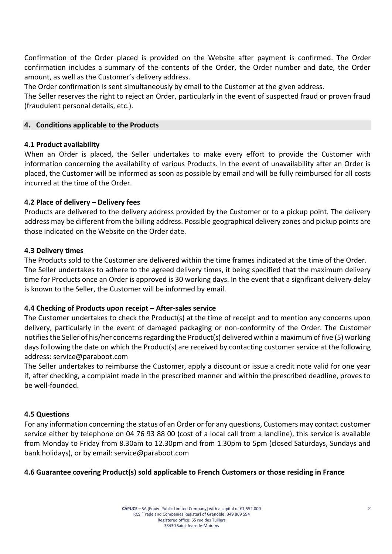Confirmation of the Order placed is provided on the Website after payment is confirmed. The Order confirmation includes a summary of the contents of the Order, the Order number and date, the Order amount, as well as the Customer's delivery address.

The Order confirmation is sent simultaneously by email to the Customer at the given address.

The Seller reserves the right to reject an Order, particularly in the event of suspected fraud or proven fraud (fraudulent personal details, etc.).

## **4. Conditions applicable to the Products**

## **4.1 Product availability**

When an Order is placed, the Seller undertakes to make every effort to provide the Customer with information concerning the availability of various Products. In the event of unavailability after an Order is placed, the Customer will be informed as soon as possible by email and will be fully reimbursed for all costs incurred at the time of the Order.

## **4.2 Place of delivery – Delivery fees**

Products are delivered to the delivery address provided by the Customer or to a pickup point. The delivery address may be different from the billing address. Possible geographical delivery zones and pickup points are those indicated on the Website on the Order date.

## **4.3 Delivery times**

The Products sold to the Customer are delivered within the time frames indicated at the time of the Order. The Seller undertakes to adhere to the agreed delivery times, it being specified that the maximum delivery time for Products once an Order is approved is 30 working days. In the event that a significant delivery delay is known to the Seller, the Customer will be informed by email.

# **4.4 Checking of Products upon receipt – After-sales service**

The Customer undertakes to check the Product(s) at the time of receipt and to mention any concerns upon delivery, particularly in the event of damaged packaging or non-conformity of the Order. The Customer notifies the Seller of his/her concerns regarding the Product(s) delivered within a maximum of five (5) working days following the date on which the Product(s) are received by contacting customer service at the following address: service@paraboot.com

The Seller undertakes to reimburse the Customer, apply a discount or issue a credit note valid for one year if, after checking, a complaint made in the prescribed manner and within the prescribed deadline, proves to be well-founded.

# **4.5 Questions**

For any information concerning the status of an Order or for any questions, Customers may contact customer service either by telephone on 04 76 93 88 00 (cost of a local call from a landline), this service is available from Monday to Friday from 8.30am to 12.30pm and from 1.30pm to 5pm (closed Saturdays, Sundays and bank holidays), or by email: service@paraboot.com

# **4.6 Guarantee covering Product(s) sold applicable to French Customers or those residing in France**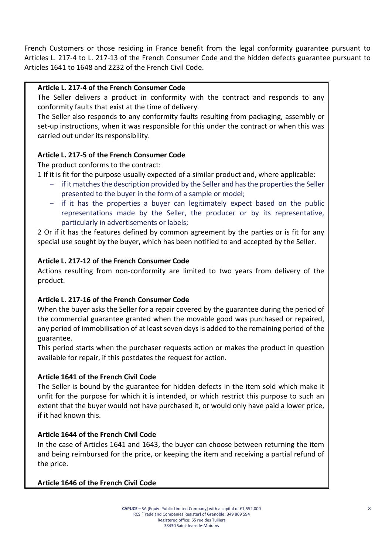French Customers or those residing in France benefit from the legal conformity guarantee pursuant to Articles L. 217-4 to L. 217-13 of the French Consumer Code and the hidden defects guarantee pursuant to Articles 1641 to 1648 and 2232 of the French Civil Code.

## **Article L. 217-4 of the French Consumer Code**

The Seller delivers a product in conformity with the contract and responds to any conformity faults that exist at the time of delivery.

The Seller also responds to any conformity faults resulting from packaging, assembly or set-up instructions, when it was responsible for this under the contract or when this was carried out under its responsibility.

# **Article L. 217-5 of the French Consumer Code**

The product conforms to the contract:

1 If it is fit for the purpose usually expected of a similar product and, where applicable:

- if it matches the description provided by the Seller and has the properties the Seller presented to the buyer in the form of a sample or model;
- if it has the properties a buyer can legitimately expect based on the public representations made by the Seller, the producer or by its representative, particularly in advertisements or labels;

2 Or if it has the features defined by common agreement by the parties or is fit for any special use sought by the buyer, which has been notified to and accepted by the Seller.

## **Article L. 217-12 of the French Consumer Code**

Actions resulting from non-conformity are limited to two years from delivery of the product.

# **Article L. 217-16 of the French Consumer Code**

When the buyer asks the Seller for a repair covered by the guarantee during the period of the commercial guarantee granted when the movable good was purchased or repaired, any period of immobilisation of at least seven days is added to the remaining period of the guarantee.

This period starts when the purchaser requests action or makes the product in question available for repair, if this postdates the request for action.

# **Article 1641 of the French Civil Code**

The Seller is bound by the guarantee for hidden defects in the item sold which make it unfit for the purpose for which it is intended, or which restrict this purpose to such an extent that the buyer would not have purchased it, or would only have paid a lower price, if it had known this.

# **Article 1644 of the French Civil Code**

In the case of Articles 1641 and 1643, the buyer can choose between returning the item and being reimbursed for the price, or keeping the item and receiving a partial refund of the price.

# **Article 1646 of the French Civil Code**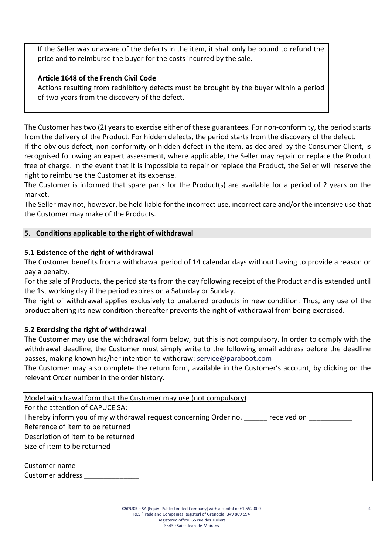If the Seller was unaware of the defects in the item, it shall only be bound to refund the price and to reimburse the buyer for the costs incurred by the sale.

# **Article 1648 of the French Civil Code**

Actions resulting from redhibitory defects must be brought by the buyer within a period of two years from the discovery of the defect.

The Customer has two (2) years to exercise either of these guarantees. For non-conformity, the period starts from the delivery of the Product. For hidden defects, the period starts from the discovery of the defect. If the obvious defect, non-conformity or hidden defect in the item, as declared by the Consumer Client, is recognised following an expert assessment, where applicable, the Seller may repair or replace the Product free of charge. In the event that it is impossible to repair or replace the Product, the Seller will reserve the right to reimburse the Customer at its expense.

The Customer is informed that spare parts for the Product(s) are available for a period of 2 years on the market.

The Seller may not, however, be held liable for the incorrect use, incorrect care and/or the intensive use that the Customer may make of the Products.

# **5. Conditions applicable to the right of withdrawal**

# **5.1 Existence of the right of withdrawal**

The Customer benefits from a withdrawal period of 14 calendar days without having to provide a reason or pay a penalty.

For the sale of Products, the period starts from the day following receipt of the Product and is extended until the 1st working day if the period expires on a Saturday or Sunday.

The right of withdrawal applies exclusively to unaltered products in new condition. Thus, any use of the product altering its new condition thereafter prevents the right of withdrawal from being exercised.

# **5.2 Exercising the right of withdrawal**

The Customer may use the withdrawal form below, but this is not compulsory. In order to comply with the withdrawal deadline, the Customer must simply write to the following email address before the deadline passes, making known his/her intention to withdraw: [service@paraboot.com](mailto:service@paraboot.com)

The Customer may also complete the return form, available in the Customer's account, by clicking on the relevant Order number in the order history.

| Model withdrawal form that the Customer may use (not compulsory)                 |
|----------------------------------------------------------------------------------|
| For the attention of CAPUCE SA:                                                  |
| I hereby inform you of my withdrawal request concerning Order no.<br>received on |
| Reference of item to be returned                                                 |
| Description of item to be returned                                               |
| Size of item to be returned                                                      |
|                                                                                  |
| Customer name                                                                    |
| Customer address                                                                 |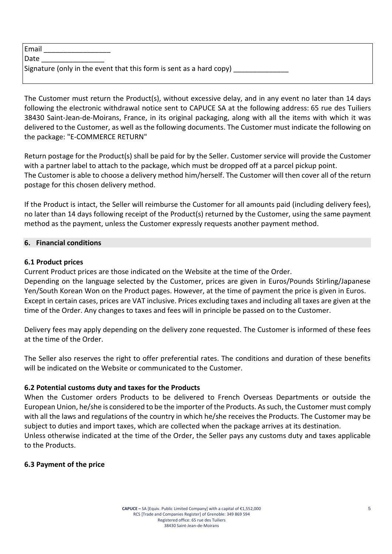| Email                                                               |
|---------------------------------------------------------------------|
| <b>IDate</b>                                                        |
| Signature (only in the event that this form is sent as a hard copy) |

The Customer must return the Product(s), without excessive delay, and in any event no later than 14 days following the electronic withdrawal notice sent to CAPUCE SA at the following address: 65 rue des Tuiliers 38430 Saint-Jean-de-Moirans, France, in its original packaging, along with all the items with which it was delivered to the Customer, as well as the following documents. The Customer must indicate the following on the package: "E-COMMERCE RETURN"

Return postage for the Product(s) shall be paid for by the Seller. Customer service will provide the Customer with a partner label to attach to the package, which must be dropped off at a parcel pickup point. The Customer is able to choose a delivery method him/herself. The Customer will then cover all of the return postage for this chosen delivery method.

If the Product is intact, the Seller will reimburse the Customer for all amounts paid (including delivery fees), no later than 14 days following receipt of the Product(s) returned by the Customer, using the same payment method as the payment, unless the Customer expressly requests another payment method.

# **6. Financial conditions**

# **6.1 Product prices**

Current Product prices are those indicated on the Website at the time of the Order.

Depending on the language selected by the Customer, prices are given in Euros/Pounds Stirling/Japanese Yen/South Korean Won on the Product pages. However, at the time of payment the price is given in Euros. Except in certain cases, prices are VAT inclusive. Prices excluding taxes and including all taxes are given at the time of the Order. Any changes to taxes and fees will in principle be passed on to the Customer.

Delivery fees may apply depending on the delivery zone requested. The Customer is informed of these fees at the time of the Order.

The Seller also reserves the right to offer preferential rates. The conditions and duration of these benefits will be indicated on the Website or communicated to the Customer.

# **6.2 Potential customs duty and taxes for the Products**

When the Customer orders Products to be delivered to French Overseas Departments or outside the European Union, he/she is considered to be the importer of the Products. As such, the Customer must comply with all the laws and regulations of the country in which he/she receives the Products. The Customer may be subject to duties and import taxes, which are collected when the package arrives at its destination. Unless otherwise indicated at the time of the Order, the Seller pays any customs duty and taxes applicable to the Products.

# **6.3 Payment of the price**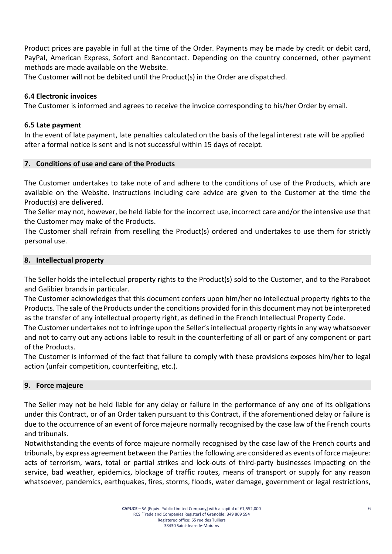Product prices are payable in full at the time of the Order. Payments may be made by credit or debit card, PayPal, American Express, Sofort and Bancontact. Depending on the country concerned, other payment methods are made available on the Website.

The Customer will not be debited until the Product(s) in the Order are dispatched.

## **6.4 Electronic invoices**

The Customer is informed and agrees to receive the invoice corresponding to his/her Order by email.

## **6.5 Late payment**

In the event of late payment, late penalties calculated on the basis of the legal interest rate will be applied after a formal notice is sent and is not successful within 15 days of receipt.

## **7. Conditions of use and care of the Products**

The Customer undertakes to take note of and adhere to the conditions of use of the Products, which are available on the Website. Instructions including care advice are given to the Customer at the time the Product(s) are delivered.

The Seller may not, however, be held liable for the incorrect use, incorrect care and/or the intensive use that the Customer may make of the Products.

The Customer shall refrain from reselling the Product(s) ordered and undertakes to use them for strictly personal use.

## **8. Intellectual property**

The Seller holds the intellectual property rights to the Product(s) sold to the Customer, and to the Paraboot and Galibier brands in particular.

The Customer acknowledges that this document confers upon him/her no intellectual property rights to the Products. The sale of the Products under the conditions provided for in this document may not be interpreted as the transfer of any intellectual property right, as defined in the French Intellectual Property Code.

The Customer undertakes not to infringe upon the Seller's intellectual property rights in any way whatsoever and not to carry out any actions liable to result in the counterfeiting of all or part of any component or part of the Products.

The Customer is informed of the fact that failure to comply with these provisions exposes him/her to legal action (unfair competition, counterfeiting, etc.).

### **9. Force majeure**

The Seller may not be held liable for any delay or failure in the performance of any one of its obligations under this Contract, or of an Order taken pursuant to this Contract, if the aforementioned delay or failure is due to the occurrence of an event of force majeure normally recognised by the case law of the French courts and tribunals.

Notwithstanding the events of force majeure normally recognised by the case law of the French courts and tribunals, by express agreement between the Parties the following are considered as events of force majeure: acts of terrorism, wars, total or partial strikes and lock-outs of third-party businesses impacting on the service, bad weather, epidemics, blockage of traffic routes, means of transport or supply for any reason whatsoever, pandemics, earthquakes, fires, storms, floods, water damage, government or legal restrictions,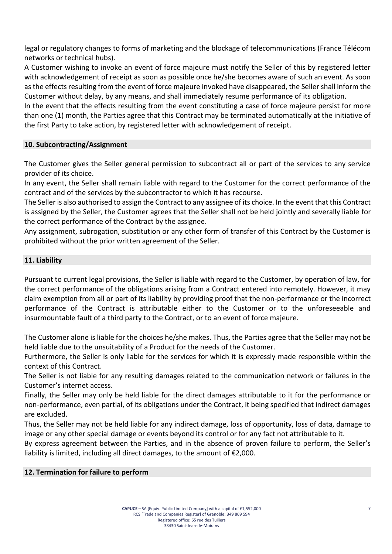legal or regulatory changes to forms of marketing and the blockage of telecommunications (France Télécom networks or technical hubs).

A Customer wishing to invoke an event of force majeure must notify the Seller of this by registered letter with acknowledgement of receipt as soon as possible once he/she becomes aware of such an event. As soon as the effects resulting from the event of force majeure invoked have disappeared, the Seller shall inform the Customer without delay, by any means, and shall immediately resume performance of its obligation.

In the event that the effects resulting from the event constituting a case of force majeure persist for more than one (1) month, the Parties agree that this Contract may be terminated automatically at the initiative of the first Party to take action, by registered letter with acknowledgement of receipt.

## **10. Subcontracting/Assignment**

The Customer gives the Seller general permission to subcontract all or part of the services to any service provider of its choice.

In any event, the Seller shall remain liable with regard to the Customer for the correct performance of the contract and of the services by the subcontractor to which it has recourse.

The Seller is also authorised to assign the Contract to any assignee of its choice. In the event that this Contract is assigned by the Seller, the Customer agrees that the Seller shall not be held jointly and severally liable for the correct performance of the Contract by the assignee.

Any assignment, subrogation, substitution or any other form of transfer of this Contract by the Customer is prohibited without the prior written agreement of the Seller.

## **11. Liability**

Pursuant to current legal provisions, the Seller is liable with regard to the Customer, by operation of law, for the correct performance of the obligations arising from a Contract entered into remotely. However, it may claim exemption from all or part of its liability by providing proof that the non-performance or the incorrect performance of the Contract is attributable either to the Customer or to the unforeseeable and insurmountable fault of a third party to the Contract, or to an event of force majeure.

The Customer alone is liable for the choices he/she makes. Thus, the Parties agree that the Seller may not be held liable due to the unsuitability of a Product for the needs of the Customer.

Furthermore, the Seller is only liable for the services for which it is expressly made responsible within the context of this Contract.

The Seller is not liable for any resulting damages related to the communication network or failures in the Customer's internet access.

Finally, the Seller may only be held liable for the direct damages attributable to it for the performance or non-performance, even partial, of its obligations under the Contract, it being specified that indirect damages are excluded.

Thus, the Seller may not be held liable for any indirect damage, loss of opportunity, loss of data, damage to image or any other special damage or events beyond its control or for any fact not attributable to it.

By express agreement between the Parties, and in the absence of proven failure to perform, the Seller's liability is limited, including all direct damages, to the amount of €2,000.

### **12. Termination for failure to perform**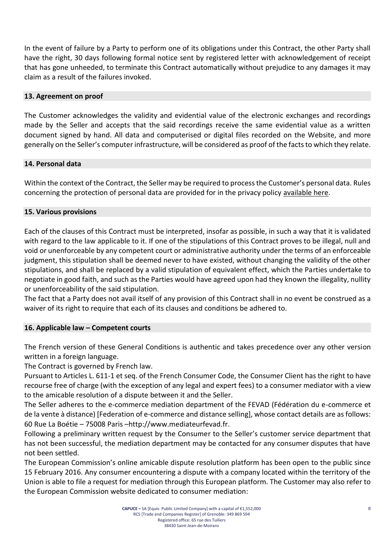In the event of failure by a Party to perform one of its obligations under this Contract, the other Party shall have the right, 30 days following formal notice sent by registered letter with acknowledgement of receipt that has gone unheeded, to terminate this Contract automatically without prejudice to any damages it may claim as a result of the failures invoked.

## **13. Agreement on proof**

The Customer acknowledges the validity and evidential value of the electronic exchanges and recordings made by the Seller and accepts that the said recordings receive the same evidential value as a written document signed by hand. All data and computerised or digital files recorded on the Website, and more generally on the Seller's computer infrastructure, will be considered as proof of the facts to which they relate.

## **14. Personal data**

Within the context of the Contract, the Seller may be required to process the Customer's personal data. Rules concerning the protection of personal data are provided for in the privacy policy available here.

## **15. Various provisions**

Each of the clauses of this Contract must be interpreted, insofar as possible, in such a way that it is validated with regard to the law applicable to it. If one of the stipulations of this Contract proves to be illegal, null and void or unenforceable by any competent court or administrative authority under the terms of an enforceable judgment, this stipulation shall be deemed never to have existed, without changing the validity of the other stipulations, and shall be replaced by a valid stipulation of equivalent effect, which the Parties undertake to negotiate in good faith, and such as the Parties would have agreed upon had they known the illegality, nullity or unenforceability of the said stipulation.

The fact that a Party does not avail itself of any provision of this Contract shall in no event be construed as a waiver of its right to require that each of its clauses and conditions be adhered to.

### **16. Applicable law – Competent courts**

The French version of these General Conditions is authentic and takes precedence over any other version written in a foreign language.

The Contract is governed by French law.

Pursuant to Articles L. 611-1 et seq. of the French Consumer Code, the Consumer Client has the right to have recourse free of charge (with the exception of any legal and expert fees) to a consumer mediator with a view to the amicable resolution of a dispute between it and the Seller.

The Seller adheres to the e-commerce mediation department of the FEVAD (Fédération du e-commerce et de la vente à distance) [Federation of e-commerce and distance selling], whose contact details are as follows: 60 Rue La Boétie – 75008 Paris –[http://www.mediateurfevad.fr.](http://www.mediateurfevad.fr/)

Following a preliminary written request by the Consumer to the Seller's customer service department that has not been successful, the mediation department may be contacted for any consumer disputes that have not been settled.

The European Commission's online amicable dispute resolution platform has been open to the public since 15 February 2016. Any consumer encountering a dispute with a company located within the territory of the Union is able to file a request for mediation through this European platform. The Customer may also refer to the European Commission website dedicated to consumer mediation: